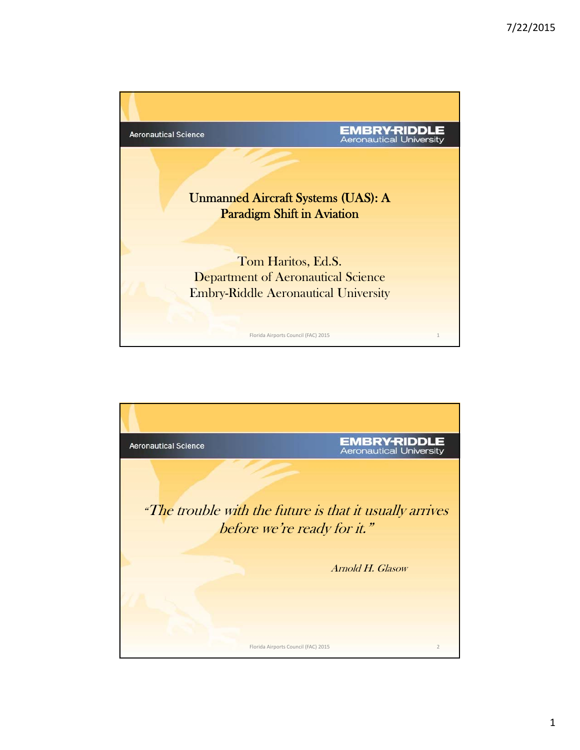

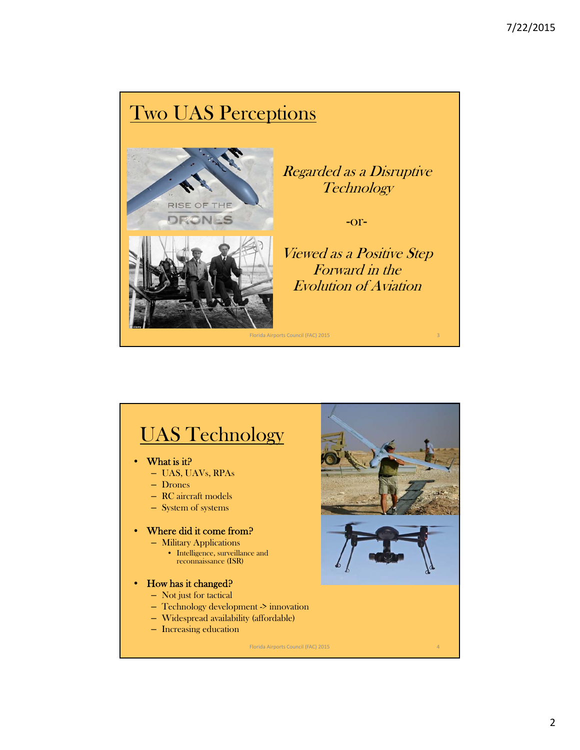# Two UAS Perceptions



Regarded as a Disruptive **Technology** 

-or-

Viewed as a Positive Step Forward in the Evolution of Aviation

# UAS Technology

- What is it?
	- UAS, UAVs, RPAs
	- Drones
	- RC aircraft models
	- System of systems

#### Where did it come from?

- Military Applications
	- Intelligence, surveillance and reconnaissance (ISR)
- How has it changed?
	- Not just for tactical
	- Technology development -> innovation
	- Widespread availability (affordable)
	- Increasing education

Florida Airports Council (FAC) 2015 4

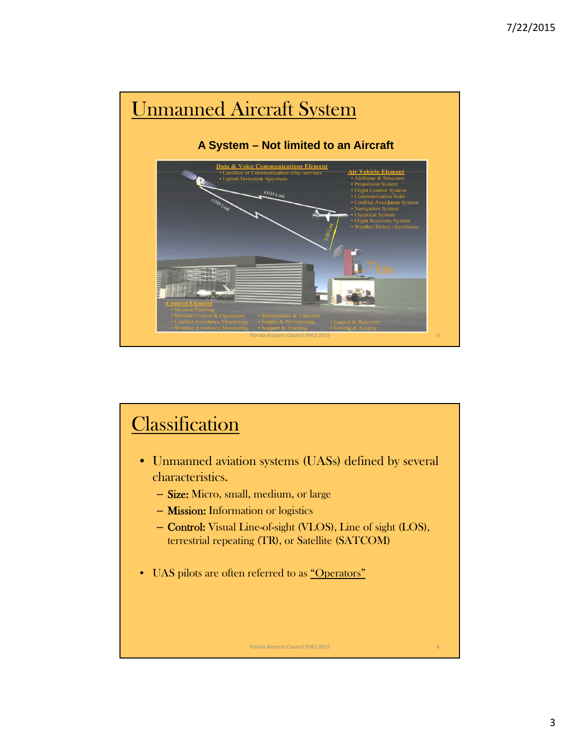

# **Classification**

- Unmanned aviation systems (UASs) defined by several characteristics.
	- Size: Micro, small, medium, or large
	- Mission: Information or logistics
	- Control: Visual Line-of-sight (VLOS), Line of sight (LOS), terrestrial repeating (TR), or Satellite (SATCOM)

Florida Airports Council (FAC) 2015 6

• UAS pilots are often referred to as "Operators"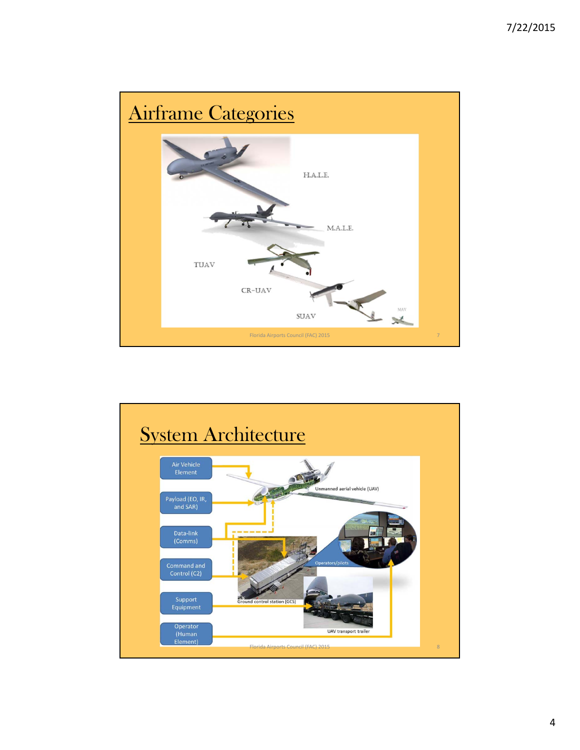

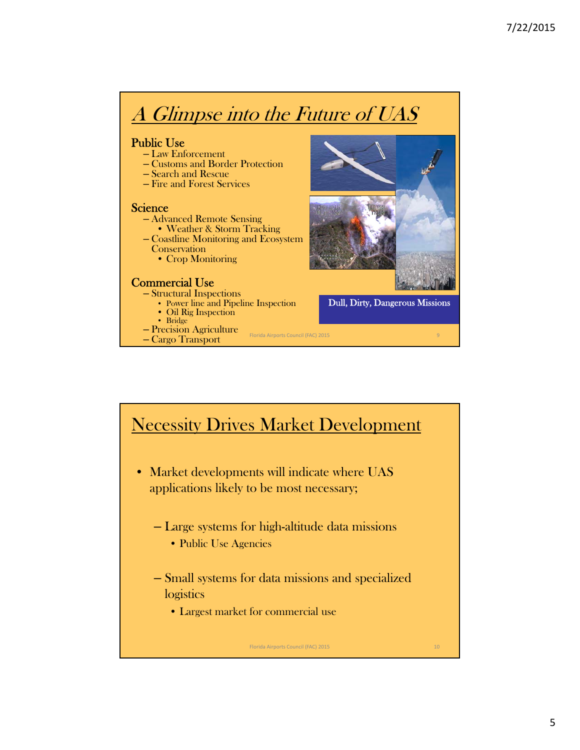# A Glimpse into the Future of UAS

- Public Use Law Enforcement
	- Customs and Border Protection
	- Search and Rescue
	- Fire and Forest Services

- Science<br>
 Advanced Remote Sensing<br>
 Weather & Storm Tracking
	- Coastline Monitoring and Ecosystem
		- **Conservation** 
			- Crop Monitoring

## Commercial Use – Structural Inspections

- - Power line and Pipeline Inspection Oil Rig Inspection Bridge
	-
	-
- Precision Agriculture
- Cargo Transport



## Necessity Drives Market Development

Florida Airports Council (FAC) 2015

- Market developments will indicate where UAS applications likely to be most necessary;
	- Large systems for high-altitude data missions
		- Public Use Agencies
	- Small systems for data missions and specialized logistics

Florida Airports Council (FAC) 2015 10

• Largest market for commercial use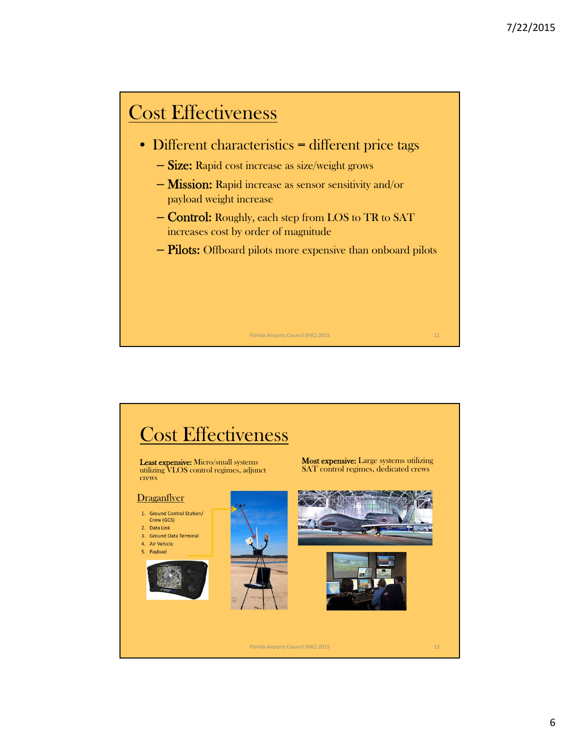# Cost Effectiveness

- Different characteristics = different price tags
	- Size: Rapid cost increase as size/weight grows
	- Mission: Rapid increase as sensor sensitivity and/or payload weight increase
	- Control: Roughly, each step from LOS to TR to SAT increases cost by order of magnitude
	- Pilots: Offboard pilots more expensive than onboard pilots

Florida Airports Council (FAC) 2015 11 11 12 12 13 14 14 15 16 17 18 17 18 17 18 17 18 17 18 17 18 17 18 17 19

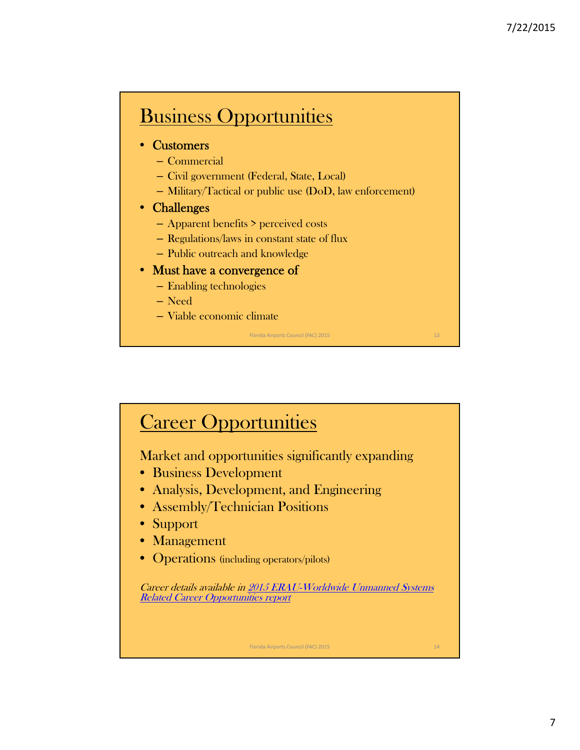# Business Opportunities

### • Customers

- Commercial
- Civil government (Federal, State, Local)
- Military/Tactical or public use (DoD, law enforcement)

### • Challenges

- Apparent benefits > perceived costs
- Regulations/laws in constant state of flux
- Public outreach and knowledge

### • Must have a convergence of

- Enabling technologies
- Need
- Viable economic climate

Florida Airports Council (FAC) 2015 13

## **Career Opportunities**

Market and opportunities significantly expanding

- Business Development
- Analysis, Development, and Engineering
- Assembly/Technician Positions
- Support
- Management
- Operations (including operators/pilots)

Career details available in 2015 ERAU-Worldwide Unmanned Systems Related Career Opportunities report

Florida Airports Council (FAC) 2015 14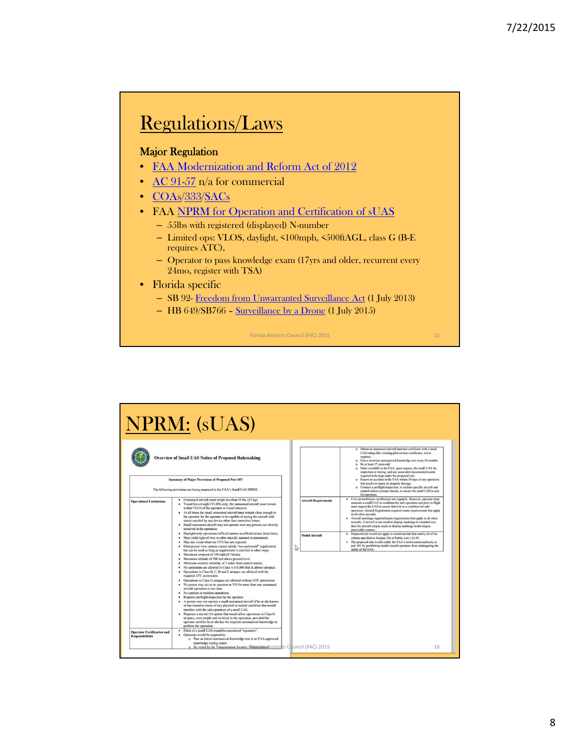## Regulations/Laws

#### Major Regulation

- FAA Modernization and Reform Act of 2012
- AC 91-57 n/a for commercial
- COAs/333/SACs
- FAA NPRM for Operation and Certification of sUAS
	- 55lbs with registered (displayed) N-number
	- Limited ops: VLOS, daylight, <100mph, <500ftAGL, class G (B-E requires ATC),
	- Operator to pass knowledge exam (17yrs and older, recurrent every 24mo, register with TSA)
- Florida specific
	- SB 92- Freedom from Unwarranted Surveillance Act (1 July 2013)
	- HB 649/SB766 Surveillance by a Drone (1 July 2015)



NPRM: (sUAS) Obtain an unmanned aircraft operator certificates with a small UAS rating (like existing phot airman certificates, never  $P$  associates expected to the state of the state of the state of the state and the state and the st **Overview of Small UAS Notice of Proposed Rulemaking Summary of Major Provisions of Proposed Part 107** The following provisions are being proposed in the FAA's Small UAS NPRM. control station systems checks, to ensure the small UAS<br>for operation. The operation control station and prior operation.<br>TAA airworthiness certification not required. However, operation and prior<br>matitain a small UAS in - Unmanned sircraft must weigh less than 55 lbs. (25 kg).<br>
- Vinual line-of-sight (VLOS) only, the unmanned sircraft must remain<br>
within VLOS of the operator or visual observer. Thain the oscillation<br>
- At all times the s nal Limitation craft Requi r sare<br>mts that apply operation, Aircraft Registration required (same requirements that apply<br>a ad adder aircraft),  $\alpha$ -Aircraft matchings requirements that policy to<br>all other aircraft),  $\alpha$  and  $\alpha$  and  $\alpha$ <br> $\alpha$  and  $\alpha$  and  $\alpha$  and  $\alpha$ Small unmaned aircraft may not operate over any persons not directly the<br>World in the operation. The priori state of the state in the state later<br>and the SMS state of the state of the state of the MS state of the<br>state of Model Aircraft  $\mathbb{S}$ Operations in Class R, C, D and E air<br>space are allowed with the required ATC permission. To also the space are allowed with the required ATC permission. No present allows the space of the rest of the present of permissio perior certifies he or she has the requisite aeronautical knowledge to<br>perform the operation.<br>• Piloss of a small UAS would be considered "operators".<br>• Operators would be required to:<br>• Operators would be required to:<br>• O **Operator Certification and**<br>Responsibilities knowledge testing center.<br>  $\bullet$  Be vetted by the Transportation Security Adidnesia Based (rports Council (FAC) 2015